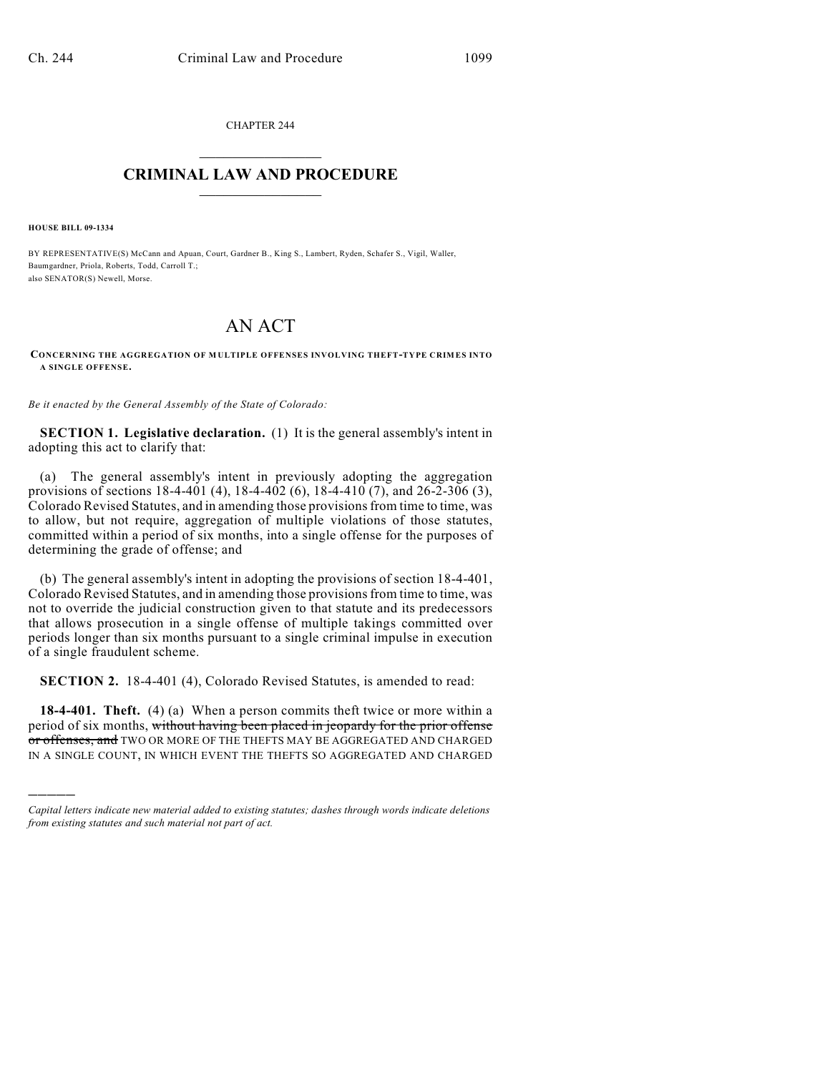CHAPTER 244  $\overline{\phantom{a}}$  . The set of the set of the set of the set of the set of the set of the set of the set of the set of the set of the set of the set of the set of the set of the set of the set of the set of the set of the set o

## **CRIMINAL LAW AND PROCEDURE**  $\frac{1}{2}$  ,  $\frac{1}{2}$  ,  $\frac{1}{2}$  ,  $\frac{1}{2}$  ,  $\frac{1}{2}$  ,  $\frac{1}{2}$  ,  $\frac{1}{2}$

**HOUSE BILL 09-1334**

)))))

BY REPRESENTATIVE(S) McCann and Apuan, Court, Gardner B., King S., Lambert, Ryden, Schafer S., Vigil, Waller, Baumgardner, Priola, Roberts, Todd, Carroll T.; also SENATOR(S) Newell, Morse.

## AN ACT

**CONCERNING THE AGGREGATION OF M ULTIPLE OFFENSES INVOLVING THEFT-TYPE CRIMES INTO A SINGLE OFFENSE.**

*Be it enacted by the General Assembly of the State of Colorado:*

**SECTION 1. Legislative declaration.** (1) It is the general assembly's intent in adopting this act to clarify that:

(a) The general assembly's intent in previously adopting the aggregation provisions of sections 18-4-401 (4), 18-4-402 (6), 18-4-410 (7), and 26-2-306 (3), Colorado Revised Statutes, and in amending those provisions from time to time, was to allow, but not require, aggregation of multiple violations of those statutes, committed within a period of six months, into a single offense for the purposes of determining the grade of offense; and

(b) The general assembly's intent in adopting the provisions of section 18-4-401, Colorado Revised Statutes, and in amending those provisions from time to time, was not to override the judicial construction given to that statute and its predecessors that allows prosecution in a single offense of multiple takings committed over periods longer than six months pursuant to a single criminal impulse in execution of a single fraudulent scheme.

**SECTION 2.** 18-4-401 (4), Colorado Revised Statutes, is amended to read:

**18-4-401. Theft.** (4) (a) When a person commits theft twice or more within a period of six months, without having been placed in jeopardy for the prior offense or offenses, and TWO OR MORE OF THE THEFTS MAY BE AGGREGATED AND CHARGED IN A SINGLE COUNT, IN WHICH EVENT THE THEFTS SO AGGREGATED AND CHARGED

*Capital letters indicate new material added to existing statutes; dashes through words indicate deletions from existing statutes and such material not part of act.*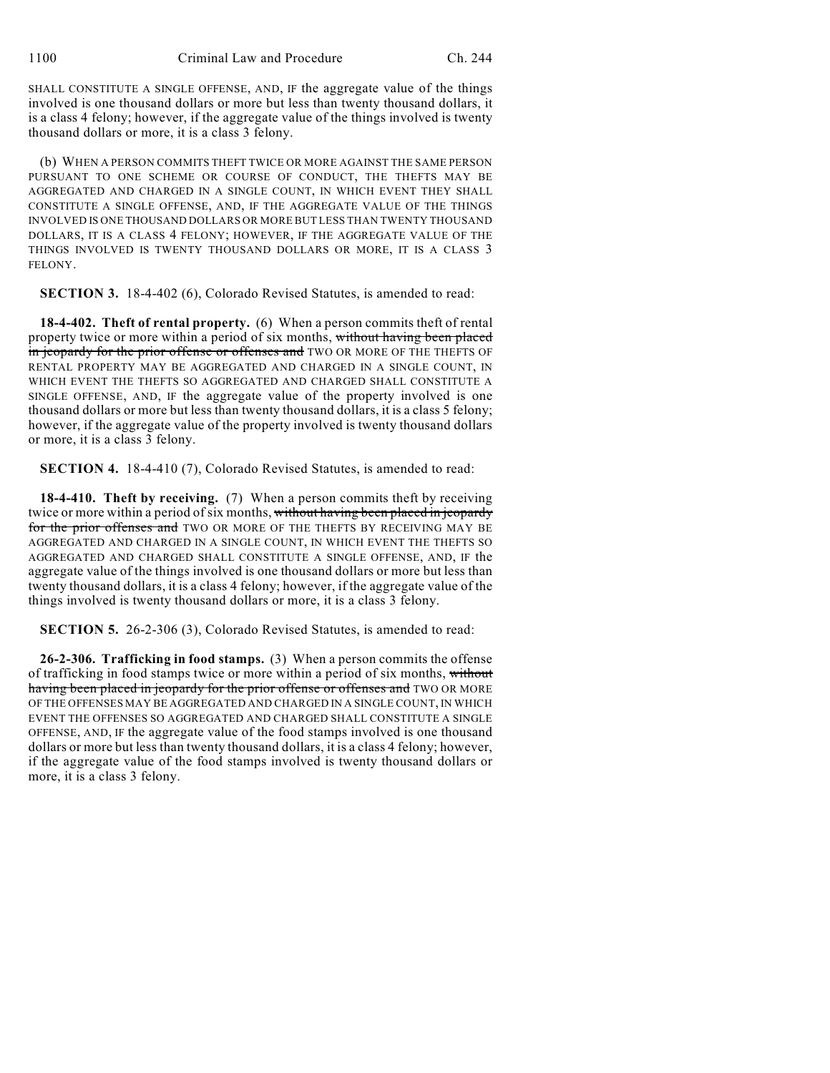SHALL CONSTITUTE A SINGLE OFFENSE, AND, IF the aggregate value of the things involved is one thousand dollars or more but less than twenty thousand dollars, it is a class 4 felony; however, if the aggregate value of the things involved is twenty thousand dollars or more, it is a class 3 felony.

(b) WHEN A PERSON COMMITS THEFT TWICE OR MORE AGAINST THE SAME PERSON PURSUANT TO ONE SCHEME OR COURSE OF CONDUCT, THE THEFTS MAY BE AGGREGATED AND CHARGED IN A SINGLE COUNT, IN WHICH EVENT THEY SHALL CONSTITUTE A SINGLE OFFENSE, AND, IF THE AGGREGATE VALUE OF THE THINGS INVOLVED IS ONE THOUSAND DOLLARS OR MORE BUT LESS THAN TWENTY THOUSAND DOLLARS, IT IS A CLASS 4 FELONY; HOWEVER, IF THE AGGREGATE VALUE OF THE THINGS INVOLVED IS TWENTY THOUSAND DOLLARS OR MORE, IT IS A CLASS 3 FELONY.

**SECTION 3.** 18-4-402 (6), Colorado Revised Statutes, is amended to read:

**18-4-402. Theft of rental property.** (6) When a person commits theft of rental property twice or more within a period of six months, without having been placed in jeopardy for the prior offense or offenses and TWO OR MORE OF THE THEFTS OF RENTAL PROPERTY MAY BE AGGREGATED AND CHARGED IN A SINGLE COUNT, IN WHICH EVENT THE THEFTS SO AGGREGATED AND CHARGED SHALL CONSTITUTE A SINGLE OFFENSE, AND, IF the aggregate value of the property involved is one thousand dollars or more but less than twenty thousand dollars, it is a class 5 felony; however, if the aggregate value of the property involved is twenty thousand dollars or more, it is a class 3 felony.

**SECTION 4.** 18-4-410 (7), Colorado Revised Statutes, is amended to read:

**18-4-410. Theft by receiving.** (7) When a person commits theft by receiving twice or more within a period of six months, without having been placed in jeopardy for the prior offenses and TWO OR MORE OF THE THEFTS BY RECEIVING MAY BE AGGREGATED AND CHARGED IN A SINGLE COUNT, IN WHICH EVENT THE THEFTS SO AGGREGATED AND CHARGED SHALL CONSTITUTE A SINGLE OFFENSE, AND, IF the aggregate value of the things involved is one thousand dollars or more but less than twenty thousand dollars, it is a class 4 felony; however, if the aggregate value of the things involved is twenty thousand dollars or more, it is a class 3 felony.

**SECTION 5.** 26-2-306 (3), Colorado Revised Statutes, is amended to read:

**26-2-306. Trafficking in food stamps.** (3) When a person commits the offense of trafficking in food stamps twice or more within a period of six months, without having been placed in jeopardy for the prior offenses or offenses and TWO OR MORE OF THE OFFENSES MAY BE AGGREGATED AND CHARGED IN A SINGLE COUNT, IN WHICH EVENT THE OFFENSES SO AGGREGATED AND CHARGED SHALL CONSTITUTE A SINGLE OFFENSE, AND, IF the aggregate value of the food stamps involved is one thousand dollars or more but less than twenty thousand dollars, it is a class 4 felony; however, if the aggregate value of the food stamps involved is twenty thousand dollars or more, it is a class 3 felony.